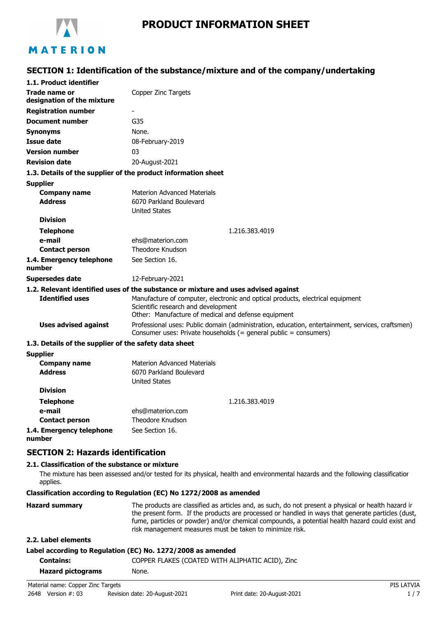

# MATERION

### **SECTION 1: Identification of the substance/mixture and of the company/undertaking**

| 1.1. Product identifier                               |                                                                                                                                                                              |
|-------------------------------------------------------|------------------------------------------------------------------------------------------------------------------------------------------------------------------------------|
| Trade name or<br>designation of the mixture           | Copper Zinc Targets                                                                                                                                                          |
| <b>Registration number</b>                            |                                                                                                                                                                              |
| <b>Document number</b>                                | G35                                                                                                                                                                          |
| <b>Synonyms</b>                                       | None.                                                                                                                                                                        |
| <b>Issue date</b>                                     | 08-February-2019                                                                                                                                                             |
| <b>Version number</b>                                 | 03                                                                                                                                                                           |
| <b>Revision date</b>                                  | 20-August-2021                                                                                                                                                               |
|                                                       | 1.3. Details of the supplier of the product information sheet                                                                                                                |
| <b>Supplier</b>                                       |                                                                                                                                                                              |
| <b>Company name</b>                                   | Materion Advanced Materials                                                                                                                                                  |
| <b>Address</b>                                        | 6070 Parkland Boulevard                                                                                                                                                      |
|                                                       | <b>United States</b>                                                                                                                                                         |
| <b>Division</b>                                       |                                                                                                                                                                              |
| <b>Telephone</b>                                      | 1.216.383.4019                                                                                                                                                               |
| e-mail                                                | ehs@materion.com                                                                                                                                                             |
| <b>Contact person</b>                                 | Theodore Knudson                                                                                                                                                             |
| 1.4. Emergency telephone<br>number                    | See Section 16.                                                                                                                                                              |
| <b>Supersedes date</b>                                | 12-February-2021                                                                                                                                                             |
|                                                       | 1.2. Relevant identified uses of the substance or mixture and uses advised against                                                                                           |
| <b>Identified uses</b>                                | Manufacture of computer, electronic and optical products, electrical equipment<br>Scientific research and development<br>Other: Manufacture of medical and defense equipment |
| <b>Uses advised against</b>                           | Professional uses: Public domain (administration, education, entertainment, services, craftsmen)<br>Consumer uses: Private households (= general public = consumers)         |
| 1.3. Details of the supplier of the safety data sheet |                                                                                                                                                                              |
| <b>Supplier</b>                                       |                                                                                                                                                                              |
| <b>Company name</b>                                   | <b>Materion Advanced Materials</b>                                                                                                                                           |
| <b>Address</b>                                        | 6070 Parkland Boulevard                                                                                                                                                      |
|                                                       | <b>United States</b>                                                                                                                                                         |
| <b>Division</b>                                       |                                                                                                                                                                              |
| <b>Telephone</b>                                      | 1.216.383.4019                                                                                                                                                               |
| e-mail                                                | ehs@materion.com                                                                                                                                                             |
| <b>Contact person</b>                                 | <b>Theodore Knudson</b>                                                                                                                                                      |
| 1.4. Emergency telephone                              | See Section 16.                                                                                                                                                              |

**1.4. Emergency telephone number**

### **SECTION 2: Hazards identification**

### **2.1. Classification of the substance or mixture**

The mixture has been assessed and/or tested for its physical, health and environmental hazards and the following classification applies.

**Classification according to Regulation (EC) No 1272/2008 as amended**

| <b>Hazard summary</b> | The products are classified as articles and, as such, do not present a physical or health hazard ir<br>the present form. If the products are processed or handled in ways that generate particles (dust,<br>fume, particles or powder) and/or chemical compounds, a potential health hazard could exist and<br>risk management measures must be taken to minimize risk. |
|-----------------------|-------------------------------------------------------------------------------------------------------------------------------------------------------------------------------------------------------------------------------------------------------------------------------------------------------------------------------------------------------------------------|
| 2.2. Label elements   |                                                                                                                                                                                                                                                                                                                                                                         |

### **Label according to Regulation (EC) No. 1272/2008 as amended**

| Contains:                          | COPPER FLAKES (COATED WITH ALIPHATIC ACID), Zinc |            |
|------------------------------------|--------------------------------------------------|------------|
| <b>Hazard pictograms</b>           | None.                                            |            |
| Material name: Copper Zinc Targets |                                                  | PIS LATVIA |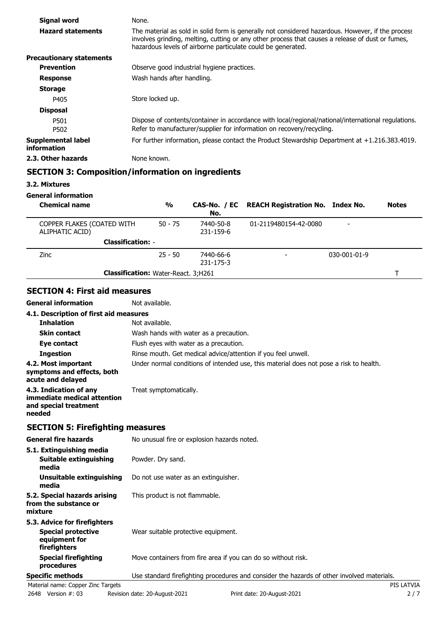| Signal word                       | None.                                                                                                                                                                                                                                                                 |
|-----------------------------------|-----------------------------------------------------------------------------------------------------------------------------------------------------------------------------------------------------------------------------------------------------------------------|
| <b>Hazard statements</b>          | The material as sold in solid form is generally not considered hazardous. However, if the process<br>involves grinding, melting, cutting or any other process that causes a release of dust or fumes,<br>hazardous levels of airborne particulate could be generated. |
| <b>Precautionary statements</b>   |                                                                                                                                                                                                                                                                       |
| <b>Prevention</b>                 | Observe good industrial hygiene practices.                                                                                                                                                                                                                            |
| <b>Response</b>                   | Wash hands after handling.                                                                                                                                                                                                                                            |
| <b>Storage</b>                    |                                                                                                                                                                                                                                                                       |
| P405                              | Store locked up.                                                                                                                                                                                                                                                      |
| <b>Disposal</b>                   |                                                                                                                                                                                                                                                                       |
| P501<br>P502                      | Dispose of contents/container in accordance with local/regional/national/international regulations.<br>Refer to manufacturer/supplier for information on recovery/recycling.                                                                                          |
| Supplemental label<br>information | For further information, please contact the Product Stewardship Department at $+1.216.383.4019$ .                                                                                                                                                                     |
| 2.3. Other hazards                | None known.                                                                                                                                                                                                                                                           |

### **SECTION 3: Composition/information on ingredients**

**3.2. Mixtures**

**General information**

| <b>Chemical name</b>                          | $\frac{0}{0}$ | No.                    | CAS-No. / EC REACH Registration No. Index No. |                      | <b>Notes</b> |
|-----------------------------------------------|---------------|------------------------|-----------------------------------------------|----------------------|--------------|
| COPPER FLAKES (COATED WITH<br>ALIPHATIC ACID) | $50 - 75$     | 7440-50-8<br>231-159-6 | 01-2119480154-42-0080                         |                      |              |
| <b>Classification: -</b>                      |               |                        |                                               |                      |              |
| <b>Zinc</b>                                   | $25 - 50$     | 7440-66-6<br>231-175-3 |                                               | $030 - 001 - 01 - 9$ |              |
| <b>Classification:</b> Water-React. 3;H261    |               |                        |                                               |                      |              |

### **SECTION 4: First aid measures**

**General information** Not available.

| 4.1. Description of first aid measures                                                   |                                                                                        |
|------------------------------------------------------------------------------------------|----------------------------------------------------------------------------------------|
| <b>Inhalation</b>                                                                        | Not available.                                                                         |
| <b>Skin contact</b>                                                                      | Wash hands with water as a precaution.                                                 |
| Eye contact                                                                              | Flush eyes with water as a precaution.                                                 |
| <b>Ingestion</b>                                                                         | Rinse mouth. Get medical advice/attention if you feel unwell.                          |
| 4.2. Most important<br>symptoms and effects, both<br>acute and delayed                   | Under normal conditions of intended use, this material does not pose a risk to health. |
| 4.3. Indication of any<br>immediate medical attention<br>and special treatment<br>needed | Treat symptomatically.                                                                 |

### **SECTION 5: Firefighting measures**

| General fire hazards                                                                       | No unusual fire or explosion hazards noted.                                                |  |
|--------------------------------------------------------------------------------------------|--------------------------------------------------------------------------------------------|--|
| 5.1. Extinguishing media<br>Suitable extinguishing<br>media                                | Powder. Dry sand.                                                                          |  |
| Unsuitable extinguishing<br>media                                                          | Do not use water as an extinguisher.                                                       |  |
| 5.2. Special hazards arising<br>from the substance or<br>mixture                           | This product is not flammable.                                                             |  |
| 5.3. Advice for firefighters<br><b>Special protective</b><br>equipment for<br>firefighters | Wear suitable protective equipment.                                                        |  |
| <b>Special firefighting</b><br>procedures                                                  | Move containers from fire area if you can do so without risk.                              |  |
| <b>Specific methods</b>                                                                    | Use standard firefighting procedures and consider the hazards of other involved materials. |  |
| Material name: Copper Zinc Targets                                                         | PIS LATVIA                                                                                 |  |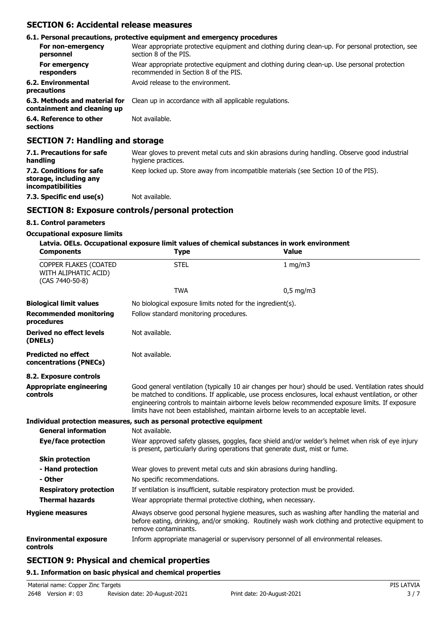### **SECTION 6: Accidental release measures**

|                                                              | 6.1. Personal precautions, protective equipment and emergency procedures                                                            |
|--------------------------------------------------------------|-------------------------------------------------------------------------------------------------------------------------------------|
| For non-emergency<br>personnel                               | Wear appropriate protective equipment and clothing during clean-up. For personal protection, see<br>section 8 of the PIS.           |
| For emergency<br>responders                                  | Wear appropriate protective equipment and clothing during clean-up. Use personal protection<br>recommended in Section 8 of the PIS. |
| 6.2. Environmental<br>precautions                            | Avoid release to the environment.                                                                                                   |
| 6.3. Methods and material for<br>containment and cleaning up | Clean up in accordance with all applicable regulations.                                                                             |
| 6.4. Reference to other<br>sections                          | Not available.                                                                                                                      |

### **SECTION 7: Handling and storage**

| 7.1. Precautions for safe<br>handling                                          | Wear gloves to prevent metal cuts and skin abrasions during handling. Observe good industrial<br>hygiene practices. |
|--------------------------------------------------------------------------------|---------------------------------------------------------------------------------------------------------------------|
| 7.2. Conditions for safe<br>storage, including any<br><i>incompatibilities</i> | Keep locked up. Store away from incompatible materials (see Section 10 of the PIS).                                 |
| 7.3. Specific end use(s)                                                       | Not available.                                                                                                      |

### **SECTION 8: Exposure controls/personal protection**

### **8.1. Control parameters**

### **Occupational exposure limits**

| <b>Components</b>                                                | Latvia. OELs. Occupational exposure limit values of chemical substances in work environment<br><b>Type</b> | <b>Value</b>                                                                                                                                                                                                                                                                                                                                                                                           |
|------------------------------------------------------------------|------------------------------------------------------------------------------------------------------------|--------------------------------------------------------------------------------------------------------------------------------------------------------------------------------------------------------------------------------------------------------------------------------------------------------------------------------------------------------------------------------------------------------|
| COPPER FLAKES (COATED<br>WITH ALIPHATIC ACID)<br>(CAS 7440-50-8) | <b>STEL</b>                                                                                                | $1 \text{ mg/m}$                                                                                                                                                                                                                                                                                                                                                                                       |
|                                                                  | <b>TWA</b>                                                                                                 | $0,5$ mg/m3                                                                                                                                                                                                                                                                                                                                                                                            |
| <b>Biological limit values</b>                                   | No biological exposure limits noted for the ingredient(s).                                                 |                                                                                                                                                                                                                                                                                                                                                                                                        |
| <b>Recommended monitoring</b><br>procedures                      | Follow standard monitoring procedures.                                                                     |                                                                                                                                                                                                                                                                                                                                                                                                        |
| <b>Derived no effect levels</b><br>(DNELs)                       | Not available.                                                                                             |                                                                                                                                                                                                                                                                                                                                                                                                        |
| <b>Predicted no effect</b><br>concentrations (PNECs)             | Not available.                                                                                             |                                                                                                                                                                                                                                                                                                                                                                                                        |
| 8.2. Exposure controls                                           |                                                                                                            |                                                                                                                                                                                                                                                                                                                                                                                                        |
| <b>Appropriate engineering</b><br>controls                       |                                                                                                            | Good general ventilation (typically 10 air changes per hour) should be used. Ventilation rates should<br>be matched to conditions. If applicable, use process enclosures, local exhaust ventilation, or other<br>engineering controls to maintain airborne levels below recommended exposure limits. If exposure<br>limits have not been established, maintain airborne levels to an acceptable level. |
|                                                                  | Individual protection measures, such as personal protective equipment                                      |                                                                                                                                                                                                                                                                                                                                                                                                        |
| <b>General information</b>                                       | Not available.                                                                                             |                                                                                                                                                                                                                                                                                                                                                                                                        |
| Eye/face protection                                              |                                                                                                            | Wear approved safety glasses, goggles, face shield and/or welder's helmet when risk of eye injury<br>is present, particularly during operations that generate dust, mist or fume.                                                                                                                                                                                                                      |
| <b>Skin protection</b>                                           |                                                                                                            |                                                                                                                                                                                                                                                                                                                                                                                                        |
| - Hand protection                                                | Wear gloves to prevent metal cuts and skin abrasions during handling.                                      |                                                                                                                                                                                                                                                                                                                                                                                                        |
| - Other                                                          | No specific recommendations.                                                                               |                                                                                                                                                                                                                                                                                                                                                                                                        |
| <b>Respiratory protection</b>                                    |                                                                                                            | If ventilation is insufficient, suitable respiratory protection must be provided.                                                                                                                                                                                                                                                                                                                      |
| <b>Thermal hazards</b>                                           | Wear appropriate thermal protective clothing, when necessary.                                              |                                                                                                                                                                                                                                                                                                                                                                                                        |
| <b>Hygiene measures</b>                                          | remove contaminants.                                                                                       | Always observe good personal hygiene measures, such as washing after handling the material and<br>before eating, drinking, and/or smoking. Routinely wash work clothing and protective equipment to                                                                                                                                                                                                    |
| <b>Environmental exposure</b><br>controls                        |                                                                                                            | Inform appropriate managerial or supervisory personnel of all environmental releases.                                                                                                                                                                                                                                                                                                                  |

### **SECTION 9: Physical and chemical properties**

### **9.1. Information on basic physical and chemical properties**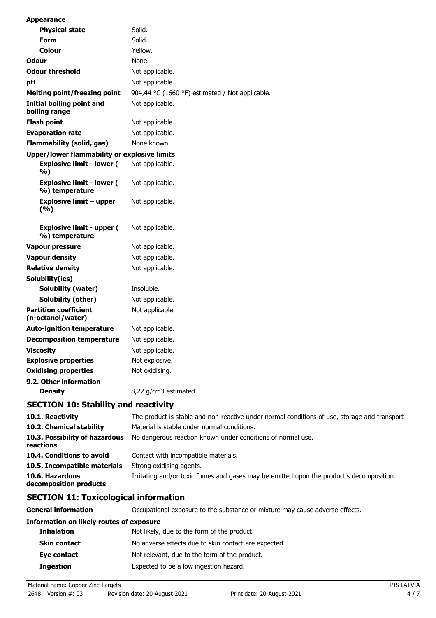| <b>Appearance</b>                                   |                                                 |
|-----------------------------------------------------|-------------------------------------------------|
| <b>Physical state</b>                               | Solid.                                          |
| Form                                                | Solid.                                          |
| Colour                                              | Yellow.                                         |
| <b>Odour</b>                                        | None.                                           |
| <b>Odour threshold</b>                              | Not applicable.                                 |
| рH                                                  | Not applicable.                                 |
| Melting point/freezing point                        | 904,44 °C (1660 °F) estimated / Not applicable. |
| Initial boiling point and<br>boiling range          | Not applicable.                                 |
| <b>Flash point</b>                                  | Not applicable.                                 |
| <b>Evaporation rate</b>                             | Not applicable.                                 |
| Flammability (solid, gas)                           | None known.                                     |
| <b>Upper/lower flammability or explosive limits</b> |                                                 |
| <b>Explosive limit - lower (</b><br>%)              | Not applicable.                                 |
| <b>Explosive limit - lower (</b><br>%) temperature  | Not applicable.                                 |
| <b>Explosive limit - upper</b><br>(%)               | Not applicable.                                 |
| <b>Explosive limit - upper (</b><br>%) temperature  | Not applicable.                                 |
| Vapour pressure                                     | Not applicable.                                 |
| <b>Vapour density</b>                               | Not applicable.                                 |
| <b>Relative density</b>                             | Not applicable.                                 |
| Solubility(ies)                                     |                                                 |
| Solubility (water)                                  | Insoluble.                                      |
| Solubility (other)                                  | Not applicable.                                 |
| <b>Partition coefficient</b><br>(n-octanol/water)   | Not applicable.                                 |
| <b>Auto-ignition temperature</b>                    | Not applicable.                                 |
| <b>Decomposition temperature</b>                    | Not applicable.                                 |
| <b>Viscosity</b>                                    | Not applicable.                                 |
| <b>Explosive properties</b>                         | Not explosive.                                  |
| <b>Oxidising properties</b>                         | Not oxidising.                                  |
| 9.2. Other information                              |                                                 |
| <b>Density</b>                                      | 8,22 g/cm3 estimated                            |

### **SECTION 10: Stability and reactivity**

| 10.1. Reactivity                            | The product is stable and non-reactive under normal conditions of use, storage and transport. |
|---------------------------------------------|-----------------------------------------------------------------------------------------------|
| 10.2. Chemical stability                    | Material is stable under normal conditions.                                                   |
| 10.3. Possibility of hazardous<br>reactions | No dangerous reaction known under conditions of normal use.                                   |
| 10.4. Conditions to avoid                   | Contact with incompatible materials.                                                          |
| 10.5. Incompatible materials                | Strong oxidising agents.                                                                      |
| 10.6. Hazardous<br>decomposition products   | Irritating and/or toxic fumes and gases may be emitted upon the product's decomposition.      |

# **SECTION 11: Toxicological information**

| General information                             | Occupational exposure to the substance or mixture may cause adverse effects. |
|-------------------------------------------------|------------------------------------------------------------------------------|
| <b>Information on likely routes of exposure</b> |                                                                              |
| <b>Inhalation</b>                               | Not likely, due to the form of the product.                                  |
| <b>Skin contact</b>                             | No adverse effects due to skin contact are expected.                         |
| Eye contact                                     | Not relevant, due to the form of the product.                                |
| <b>Ingestion</b>                                | Expected to be a low ingestion hazard.                                       |

Material name: Copper Zinc Targets **PIS LATVIA**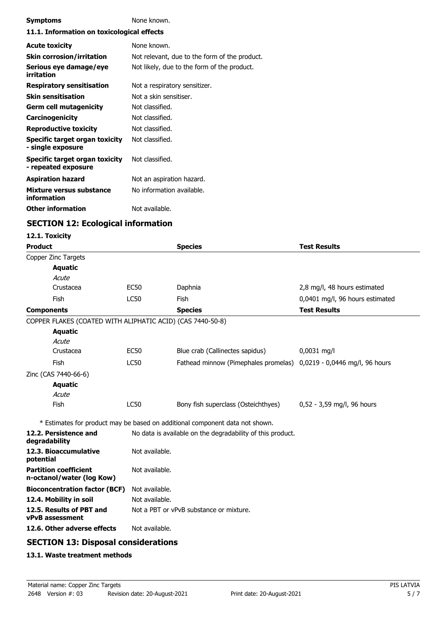| <b>Symptoms</b>                                       | None known.                                   |  |
|-------------------------------------------------------|-----------------------------------------------|--|
| 11.1. Information on toxicological effects            |                                               |  |
| <b>Acute toxicity</b>                                 | None known.                                   |  |
| <b>Skin corrosion/irritation</b>                      | Not relevant, due to the form of the product. |  |
| Serious eye damage/eye<br>irritation                  | Not likely, due to the form of the product.   |  |
| <b>Respiratory sensitisation</b>                      | Not a respiratory sensitizer.                 |  |
| <b>Skin sensitisation</b>                             | Not a skin sensitiser.                        |  |
| Germ cell mutagenicity                                | Not classified.                               |  |
| <b>Carcinogenicity</b>                                | Not classified.                               |  |
| <b>Reproductive toxicity</b>                          | Not classified.                               |  |
| Specific target organ toxicity<br>- single exposure   | Not classified.                               |  |
| Specific target organ toxicity<br>- repeated exposure | Not classified.                               |  |
| <b>Aspiration hazard</b>                              | Not an aspiration hazard.                     |  |
| Mixture versus substance<br>information               | No information available.                     |  |
| <b>Other information</b>                              | Not available.                                |  |

# **SECTION 12: Ecological information**

#### **12.1. Toxicity**

| <b>Product</b>                                             |                | <b>Species</b>                                                               | <b>Test Results</b>             |  |
|------------------------------------------------------------|----------------|------------------------------------------------------------------------------|---------------------------------|--|
| Copper Zinc Targets                                        |                |                                                                              |                                 |  |
| <b>Aquatic</b>                                             |                |                                                                              |                                 |  |
| Acute                                                      |                |                                                                              |                                 |  |
| Crustacea                                                  | <b>EC50</b>    | Daphnia                                                                      | 2,8 mg/l, 48 hours estimated    |  |
| Fish                                                       | <b>LC50</b>    | Fish                                                                         | 0,0401 mg/l, 96 hours estimated |  |
| <b>Components</b>                                          |                | <b>Species</b>                                                               | <b>Test Results</b>             |  |
| COPPER FLAKES (COATED WITH ALIPHATIC ACID) (CAS 7440-50-8) |                |                                                                              |                                 |  |
| <b>Aquatic</b>                                             |                |                                                                              |                                 |  |
| Acute                                                      |                |                                                                              |                                 |  |
| Crustacea                                                  | <b>EC50</b>    | Blue crab (Callinectes sapidus)                                              | $0,0031$ mg/l                   |  |
| Fish                                                       | <b>LC50</b>    | Fathead minnow (Pimephales promelas)                                         | 0,0219 - 0,0446 mg/l, 96 hours  |  |
| Zinc (CAS 7440-66-6)                                       |                |                                                                              |                                 |  |
| <b>Aquatic</b>                                             |                |                                                                              |                                 |  |
| Acute                                                      |                |                                                                              |                                 |  |
| Fish                                                       | <b>LC50</b>    | Bony fish superclass (Osteichthyes)                                          | 0,52 - 3,59 mg/l, 96 hours      |  |
|                                                            |                | * Estimates for product may be based on additional component data not shown. |                                 |  |
| 12.2. Persistence and<br>degradability                     |                | No data is available on the degradability of this product.                   |                                 |  |
| 12.3. Bioaccumulative<br>potential                         | Not available. |                                                                              |                                 |  |
| <b>Partition coefficient</b><br>n-octanol/water (log Kow)  | Not available. |                                                                              |                                 |  |
| <b>Bioconcentration factor (BCF)</b>                       | Not available. |                                                                              |                                 |  |
| 12.4. Mobility in soil                                     | Not available. |                                                                              |                                 |  |
| 12.5. Results of PBT and<br>vPvB assessment                |                | Not a PBT or vPvB substance or mixture.                                      |                                 |  |
| 12.6. Other adverse effects                                | Not available. |                                                                              |                                 |  |
| CECTION 12: Dicposal considerations                        |                |                                                                              |                                 |  |

### **SECTION 13: Disposal considerations**

### **13.1. Waste treatment methods**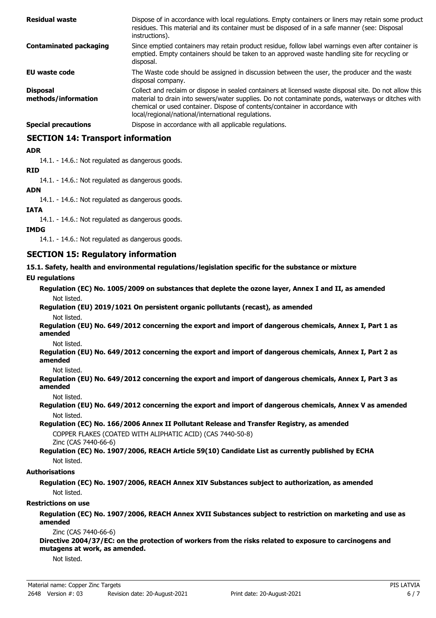| <b>Residual waste</b>                  | Dispose of in accordance with local regulations. Empty containers or liners may retain some product<br>residues. This material and its container must be disposed of in a safe manner (see: Disposal<br>instructions).                                                                                                                            |
|----------------------------------------|---------------------------------------------------------------------------------------------------------------------------------------------------------------------------------------------------------------------------------------------------------------------------------------------------------------------------------------------------|
| <b>Contaminated packaging</b>          | Since emptied containers may retain product residue, follow label warnings even after container is<br>emptied. Empty containers should be taken to an approved waste handling site for recycling or<br>disposal.                                                                                                                                  |
| EU waste code                          | The Waste code should be assigned in discussion between the user, the producer and the waste<br>disposal company.                                                                                                                                                                                                                                 |
| <b>Disposal</b><br>methods/information | Collect and reclaim or dispose in sealed containers at licensed waste disposal site. Do not allow this<br>material to drain into sewers/water supplies. Do not contaminate ponds, waterways or ditches with<br>chemical or used container. Dispose of contents/container in accordance with<br>local/regional/national/international regulations. |
| <b>Special precautions</b>             | Dispose in accordance with all applicable regulations.                                                                                                                                                                                                                                                                                            |

### **SECTION 14: Transport information**

### **ADR**

14.1. - 14.6.: Not regulated as dangerous goods.

#### **RID**

14.1. - 14.6.: Not regulated as dangerous goods.

#### **ADN**

14.1. - 14.6.: Not regulated as dangerous goods.

#### **IATA**

14.1. - 14.6.: Not regulated as dangerous goods.

#### **IMDG**

14.1. - 14.6.: Not regulated as dangerous goods.

### **SECTION 15: Regulatory information**

**15.1. Safety, health and environmental regulations/legislation specific for the substance or mixture**

#### **EU regulations**

**Regulation (EC) No. 1005/2009 on substances that deplete the ozone layer, Annex I and II, as amended** Not listed.

**Regulation (EU) 2019/1021 On persistent organic pollutants (recast), as amended** Not listed.

**Regulation (EU) No. 649/2012 concerning the export and import of dangerous chemicals, Annex I, Part 1 as amended**

Not listed.

**Regulation (EU) No. 649/2012 concerning the export and import of dangerous chemicals, Annex I, Part 2 as amended**

#### Not listed.

**Regulation (EU) No. 649/2012 concerning the export and import of dangerous chemicals, Annex I, Part 3 as amended**

#### Not listed.

**Regulation (EU) No. 649/2012 concerning the export and import of dangerous chemicals, Annex V as amended** Not listed.

**Regulation (EC) No. 166/2006 Annex II Pollutant Release and Transfer Registry, as amended** COPPER FLAKES (COATED WITH ALIPHATIC ACID) (CAS 7440-50-8) Zinc (CAS 7440-66-6)

**Regulation (EC) No. 1907/2006, REACH Article 59(10) Candidate List as currently published by ECHA** Not listed.

### **Authorisations**

**Regulation (EC) No. 1907/2006, REACH Annex XIV Substances subject to authorization, as amended** Not listed.

#### **Restrictions on use**

**Regulation (EC) No. 1907/2006, REACH Annex XVII Substances subject to restriction on marketing and use as amended**

#### Zinc (CAS 7440-66-6)

**Directive 2004/37/EC: on the protection of workers from the risks related to exposure to carcinogens and mutagens at work, as amended.**

Not listed.